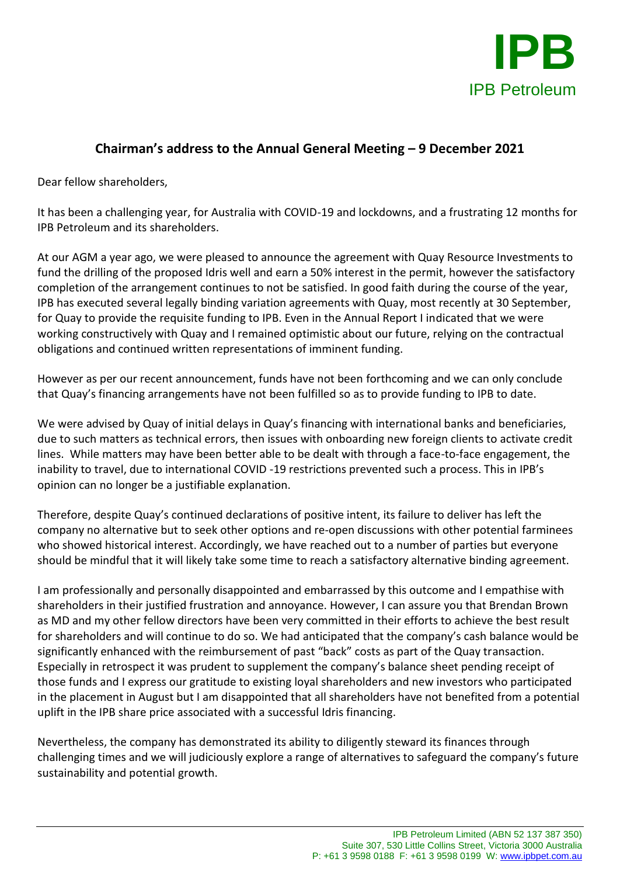

## **Chairman's address to the Annual General Meeting – 9 December 2021**

Dear fellow shareholders,

It has been a challenging year, for Australia with COVID-19 and lockdowns, and a frustrating 12 months for IPB Petroleum and its shareholders.

At our AGM a year ago, we were pleased to announce the agreement with Quay Resource Investments to fund the drilling of the proposed Idris well and earn a 50% interest in the permit, however the satisfactory completion of the arrangement continues to not be satisfied. In good faith during the course of the year, IPB has executed several legally binding variation agreements with Quay, most recently at 30 September, for Quay to provide the requisite funding to IPB. Even in the Annual Report I indicated that we were working constructively with Quay and I remained optimistic about our future, relying on the contractual obligations and continued written representations of imminent funding.

However as per our recent announcement, funds have not been forthcoming and we can only conclude that Quay's financing arrangements have not been fulfilled so as to provide funding to IPB to date.

We were advised by Quay of initial delays in Quay's financing with international banks and beneficiaries, due to such matters as technical errors, then issues with onboarding new foreign clients to activate credit lines. While matters may have been better able to be dealt with through a face-to-face engagement, the inability to travel, due to international COVID -19 restrictions prevented such a process. This in IPB's opinion can no longer be a justifiable explanation.

Therefore, despite Quay's continued declarations of positive intent, its failure to deliver has left the company no alternative but to seek other options and re-open discussions with other potential farminees who showed historical interest. Accordingly, we have reached out to a number of parties but everyone should be mindful that it will likely take some time to reach a satisfactory alternative binding agreement.

I am professionally and personally disappointed and embarrassed by this outcome and I empathise with shareholders in their justified frustration and annoyance. However, I can assure you that Brendan Brown as MD and my other fellow directors have been very committed in their efforts to achieve the best result for shareholders and will continue to do so. We had anticipated that the company's cash balance would be significantly enhanced with the reimbursement of past "back" costs as part of the Quay transaction. Especially in retrospect it was prudent to supplement the company's balance sheet pending receipt of those funds and I express our gratitude to existing loyal shareholders and new investors who participated in the placement in August but I am disappointed that all shareholders have not benefited from a potential uplift in the IPB share price associated with a successful Idris financing.

Nevertheless, the company has demonstrated its ability to diligently steward its finances through challenging times and we will judiciously explore a range of alternatives to safeguard the company's future sustainability and potential growth.